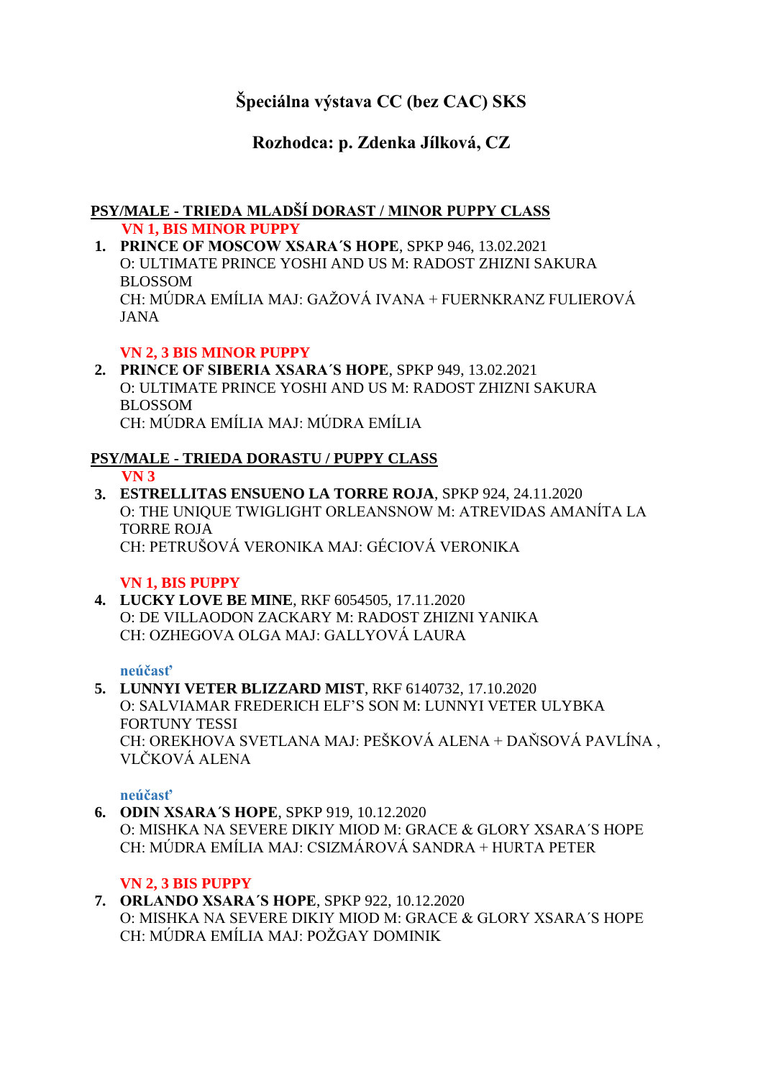# **Špeciálna výstava CC (bez CAC) SKS**

## **Rozhodca: p. Zdenka Jílková, CZ**

### **PSY/MALE - TRIEDA MLADŠÍ DORAST / MINOR PUPPY CLASS VN 1, BIS MINOR PUPPY**

**1. PRINCE OF MOSCOW XSARA´S HOPE**, SPKP 946, 13.02.2021 O: ULTIMATE PRINCE YOSHI AND US M: RADOST ZHIZNI SAKURA BLOSSOM CH: MÚDRA EMÍLIA MAJ: GAŽOVÁ IVANA + FUERNKRANZ FULIEROVÁ JANA

## **VN 2, 3 BIS MINOR PUPPY**

**2. PRINCE OF SIBERIA XSARA´S HOPE**, SPKP 949, 13.02.2021 O: ULTIMATE PRINCE YOSHI AND US M: RADOST ZHIZNI SAKURA BLOSSOM CH: MÚDRA EMÍLIA MAJ: MÚDRA EMÍLIA

#### **PSY/MALE - TRIEDA DORASTU / PUPPY CLASS VN 3**

**3. ESTRELLITAS ENSUENO LA TORRE ROJA**, SPKP 924, 24.11.2020 O: THE UNIQUE TWIGLIGHT ORLEANSNOW M: ATREVIDAS AMANÍTA LA TORRE ROJA CH: PETRUŠOVÁ VERONIKA MAJ: GÉCIOVÁ VERONIKA

### **VN 1, BIS PUPPY**

**4. LUCKY LOVE BE MINE**, RKF 6054505, 17.11.2020 O: DE VILLAODON ZACKARY M: RADOST ZHIZNI YANIKA CH: OZHEGOVA OLGA MAJ: GALLYOVÁ LAURA

### **neúčasť**

**5. LUNNYI VETER BLIZZARD MIST**, RKF 6140732, 17.10.2020 O: SALVIAMAR FREDERICH ELF'S SON M: LUNNYI VETER ULYBKA FORTUNY TESSI CH: OREKHOVA SVETLANA MAJ: PEŠKOVÁ ALENA + DAŇSOVÁ PAVLÍNA , VLČKOVÁ ALENA

### **neúčasť**

**6. ODIN XSARA´S HOPE**, SPKP 919, 10.12.2020 O: MISHKA NA SEVERE DIKIY MIOD M: GRACE & GLORY XSARA´S HOPE CH: MÚDRA EMÍLIA MAJ: CSIZMÁROVÁ SANDRA + HURTA PETER

### **VN 2, 3 BIS PUPPY**

**7. ORLANDO XSARA´S HOPE**, SPKP 922, 10.12.2020 O: MISHKA NA SEVERE DIKIY MIOD M: GRACE & GLORY XSARA´S HOPE CH: MÚDRA EMÍLIA MAJ: POŽGAY DOMINIK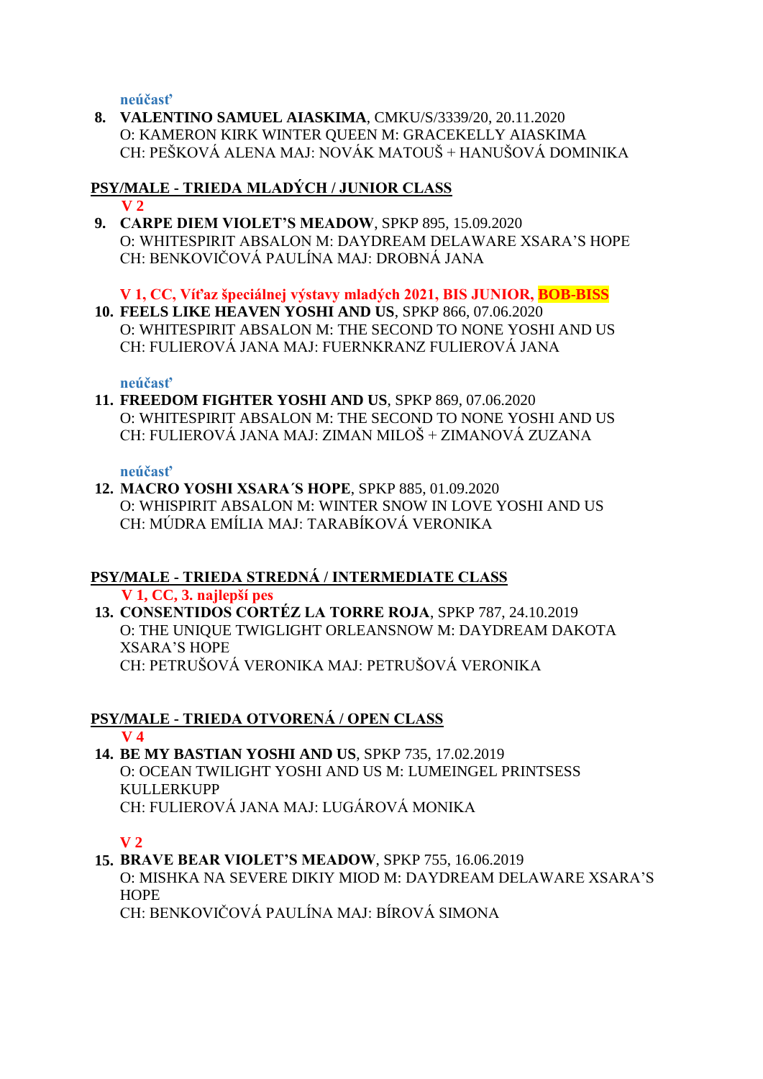**neúčasť**

**8. VALENTINO SAMUEL AIASKIMA**, CMKU/S/3339/20, 20.11.2020 O: KAMERON KIRK WINTER QUEEN M: GRACEKELLY AIASKIMA CH: PEŠKOVÁ ALENA MAJ: NOVÁK MATOUŠ + HANUŠOVÁ DOMINIKA

#### **PSY/MALE - TRIEDA MLADÝCH / JUNIOR CLASS V 2**

**9. CARPE DIEM VIOLET'S MEADOW**, SPKP 895, 15.09.2020 O: WHITESPIRIT ABSALON M: DAYDREAM DELAWARE XSARA'S HOPE CH: BENKOVIČOVÁ PAULÍNA MAJ: DROBNÁ JANA

### **V 1, CC, Víťaz špeciálnej výstavy mladých 2021, BIS JUNIOR, BOB-BISS**

**10. FEELS LIKE HEAVEN YOSHI AND US**, SPKP 866, 07.06.2020 O: WHITESPIRIT ABSALON M: THE SECOND TO NONE YOSHI AND US CH: FULIEROVÁ JANA MAJ: FUERNKRANZ FULIEROVÁ JANA

### **neúčasť**

**11. FREEDOM FIGHTER YOSHI AND US**, SPKP 869, 07.06.2020 O: WHITESPIRIT ABSALON M: THE SECOND TO NONE YOSHI AND US CH: FULIEROVÁ JANA MAJ: ZIMAN MILOŠ + ZIMANOVÁ ZUZANA

### **neúčasť**

**12. MACRO YOSHI XSARA´S HOPE**, SPKP 885, 01.09.2020 O: WHISPIRIT ABSALON M: WINTER SNOW IN LOVE YOSHI AND US CH: MÚDRA EMÍLIA MAJ: TARABÍKOVÁ VERONIKA

### **PSY/MALE - TRIEDA STREDNÁ / INTERMEDIATE CLASS**

**V 1, CC, 3. najlepší pes**

**13. CONSENTIDOS CORTÉZ LA TORRE ROJA**, SPKP 787, 24.10.2019 O: THE UNIQUE TWIGLIGHT ORLEANSNOW M: DAYDREAM DAKOTA XSARA'S HOPE CH: PETRUŠOVÁ VERONIKA MAJ: PETRUŠOVÁ VERONIKA

# **PSY/MALE - TRIEDA OTVORENÁ / OPEN CLASS**

- **V 4**
- **14. BE MY BASTIAN YOSHI AND US**, SPKP 735, 17.02.2019 O: OCEAN TWILIGHT YOSHI AND US M: LUMEINGEL PRINTSESS **KULLERKUPP** CH: FULIEROVÁ JANA MAJ: LUGÁROVÁ MONIKA

### **V 2**

**15. BRAVE BEAR VIOLET'S MEADOW**, SPKP 755, 16.06.2019 O: MISHKA NA SEVERE DIKIY MIOD M: DAYDREAM DELAWARE XSARA'S **HOPE** CH: BENKOVIČOVÁ PAULÍNA MAJ: BÍROVÁ SIMONA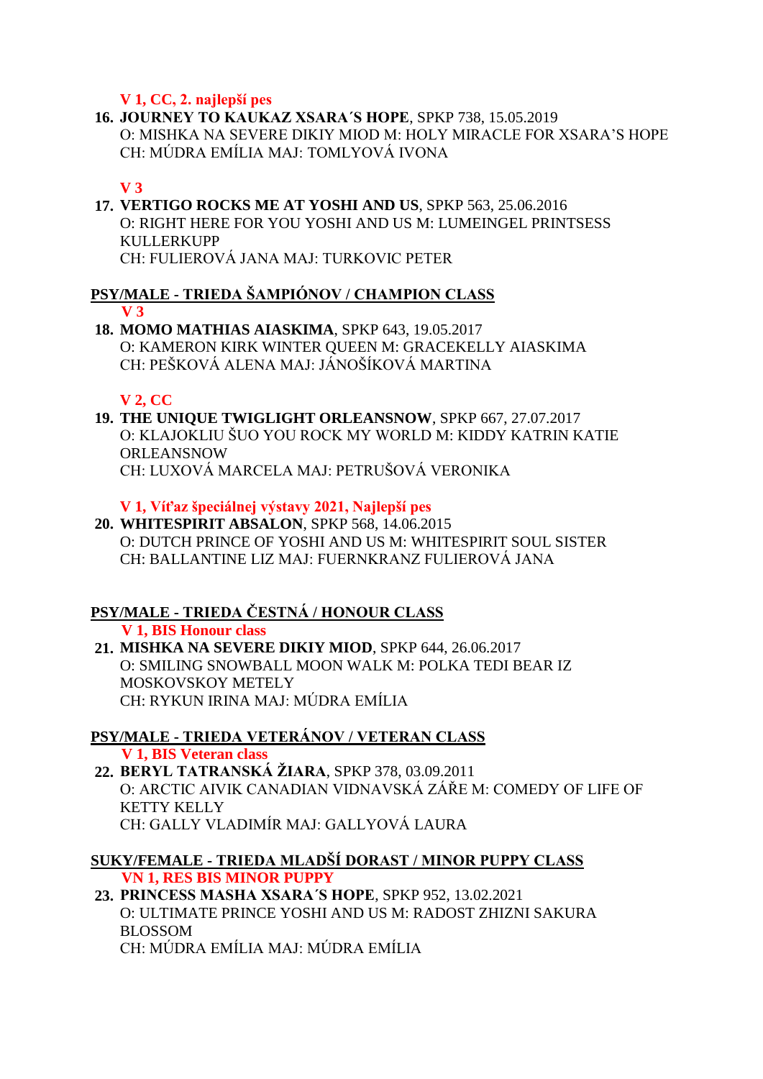### **V 1, CC, 2. najlepší pes**

**16. JOURNEY TO KAUKAZ XSARA´S HOPE**, SPKP 738, 15.05.2019 O: MISHKA NA SEVERE DIKIY MIOD M: HOLY MIRACLE FOR XSARA'S HOPE CH: MÚDRA EMÍLIA MAJ: TOMLYOVÁ IVONA

## **V 3**

**17. VERTIGO ROCKS ME AT YOSHI AND US**, SPKP 563, 25.06.2016 O: RIGHT HERE FOR YOU YOSHI AND US M: LUMEINGEL PRINTSESS KULLERKUPP CH: FULIEROVÁ JANA MAJ: TURKOVIC PETER

### **PSY/MALE - TRIEDA ŠAMPIÓNOV / CHAMPION CLASS V 3**

**18. MOMO MATHIAS AIASKIMA**, SPKP 643, 19.05.2017 O: KAMERON KIRK WINTER QUEEN M: GRACEKELLY AIASKIMA CH: PEŠKOVÁ ALENA MAJ: JÁNOŠÍKOVÁ MARTINA

## **V 2, CC**

**19. THE UNIQUE TWIGLIGHT ORLEANSNOW**, SPKP 667, 27.07.2017 O: KLAJOKLIU ŠUO YOU ROCK MY WORLD M: KIDDY KATRIN KATIE ORLEANSNOW CH: LUXOVÁ MARCELA MAJ: PETRUŠOVÁ VERONIKA

### **V 1, Víťaz špeciálnej výstavy 2021, Najlepší pes**

**20. WHITESPIRIT ABSALON**, SPKP 568, 14.06.2015 O: DUTCH PRINCE OF YOSHI AND US M: WHITESPIRIT SOUL SISTER CH: BALLANTINE LIZ MAJ: FUERNKRANZ FULIEROVÁ JANA

#### **PSY/MALE - TRIEDA ČESTNÁ / HONOUR CLASS V 1, BIS Honour class**

**21. MISHKA NA SEVERE DIKIY MIOD**, SPKP 644, 26.06.2017 O: SMILING SNOWBALL MOON WALK M: POLKA TEDI BEAR IZ MOSKOVSKOY METELY CH: RYKUN IRINA MAJ: MÚDRA EMÍLIA

#### **PSY/MALE - TRIEDA VETERÁNOV / VETERAN CLASS V 1, BIS Veteran class**

**22. BERYL TATRANSKÁ ŽIARA**, SPKP 378, 03.09.2011 O: ARCTIC AIVIK CANADIAN VIDNAVSKÁ ZÁŘE M: COMEDY OF LIFE OF KETTY KELLY CH: GALLY VLADIMÍR MAJ: GALLYOVÁ LAURA

#### **SUKY/FEMALE - TRIEDA MLADŠÍ DORAST / MINOR PUPPY CLASS VN 1, RES BIS MINOR PUPPY**

**23. PRINCESS MASHA XSARA´S HOPE**, SPKP 952, 13.02.2021 O: ULTIMATE PRINCE YOSHI AND US M: RADOST ZHIZNI SAKURA BLOSSOM CH: MÚDRA EMÍLIA MAJ: MÚDRA EMÍLIA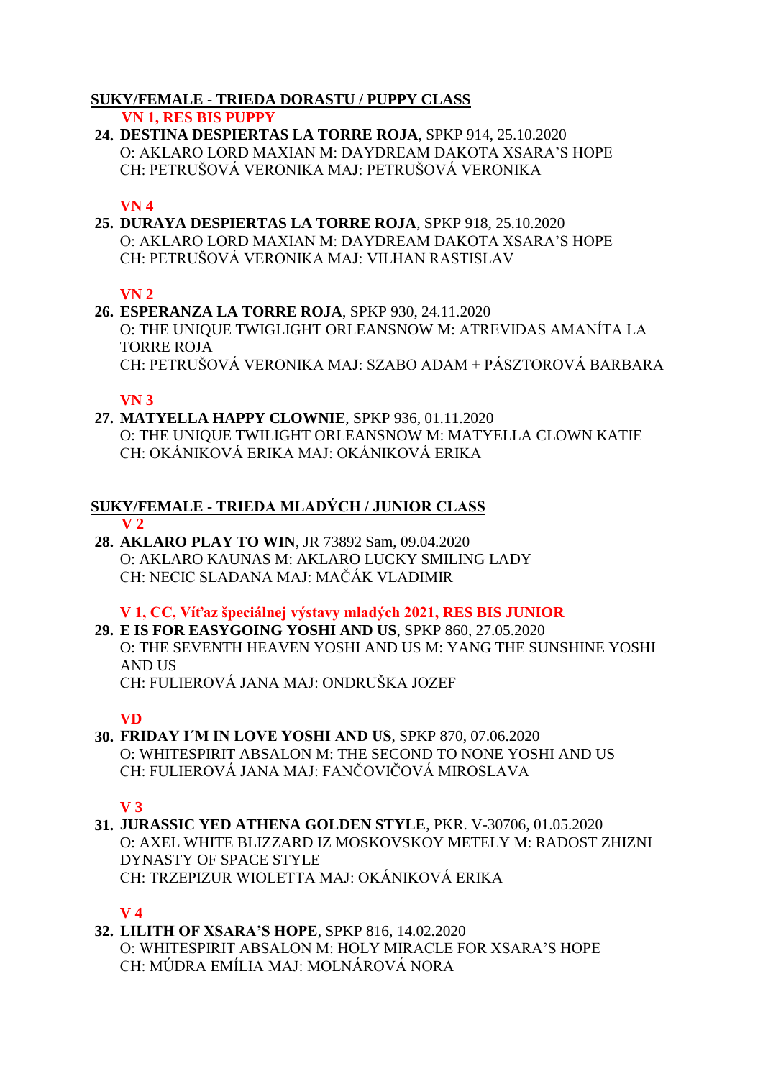### **SUKY/FEMALE - TRIEDA DORASTU / PUPPY CLASS**

#### **VN 1, RES BIS PUPPY**

**24. DESTINA DESPIERTAS LA TORRE ROJA**, SPKP 914, 25.10.2020 O: AKLARO LORD MAXIAN M: DAYDREAM DAKOTA XSARA'S HOPE CH: PETRUŠOVÁ VERONIKA MAJ: PETRUŠOVÁ VERONIKA

#### **VN 4**

**25. DURAYA DESPIERTAS LA TORRE ROJA**, SPKP 918, 25.10.2020 O: AKLARO LORD MAXIAN M: DAYDREAM DAKOTA XSARA'S HOPE CH: PETRUŠOVÁ VERONIKA MAJ: VILHAN RASTISLAV

### **VN 2**

**26. ESPERANZA LA TORRE ROJA**, SPKP 930, 24.11.2020 O: THE UNIQUE TWIGLIGHT ORLEANSNOW M: ATREVIDAS AMANÍTA LA TORRE ROJA CH: PETRUŠOVÁ VERONIKA MAJ: SZABO ADAM + PÁSZTOROVÁ BARBARA

### **VN 3**

**27. MATYELLA HAPPY CLOWNIE**, SPKP 936, 01.11.2020 O: THE UNIQUE TWILIGHT ORLEANSNOW M: MATYELLA CLOWN KATIE CH: OKÁNIKOVÁ ERIKA MAJ: OKÁNIKOVÁ ERIKA

#### **SUKY/FEMALE - TRIEDA MLADÝCH / JUNIOR CLASS V 2**

**28. AKLARO PLAY TO WIN**, JR 73892 Sam, 09.04.2020 O: AKLARO KAUNAS M: AKLARO LUCKY SMILING LADY CH: NECIC SLADANA MAJ: MAČÁK VLADIMIR

**V 1, CC, Víťaz špeciálnej výstavy mladých 2021, RES BIS JUNIOR**

**29. E IS FOR EASYGOING YOSHI AND US**, SPKP 860, 27.05.2020 O: THE SEVENTH HEAVEN YOSHI AND US M: YANG THE SUNSHINE YOSHI AND US CH: FULIEROVÁ JANA MAJ: ONDRUŠKA JOZEF

### **VD**

**30. FRIDAY I´M IN LOVE YOSHI AND US**, SPKP 870, 07.06.2020 O: WHITESPIRIT ABSALON M: THE SECOND TO NONE YOSHI AND US CH: FULIEROVÁ JANA MAJ: FANČOVIČOVÁ MIROSLAVA

### **V 3**

**31. JURASSIC YED ATHENA GOLDEN STYLE**, PKR. V-30706, 01.05.2020 O: AXEL WHITE BLIZZARD IZ MOSKOVSKOY METELY M: RADOST ZHIZNI DYNASTY OF SPACE STYLE CH: TRZEPIZUR WIOLETTA MAJ: OKÁNIKOVÁ ERIKA

### **V 4**

#### **32. LILITH OF XSARA'S HOPE**, SPKP 816, 14.02.2020 O: WHITESPIRIT ABSALON M: HOLY MIRACLE FOR XSARA'S HOPE CH: MÚDRA EMÍLIA MAJ: MOLNÁROVÁ NORA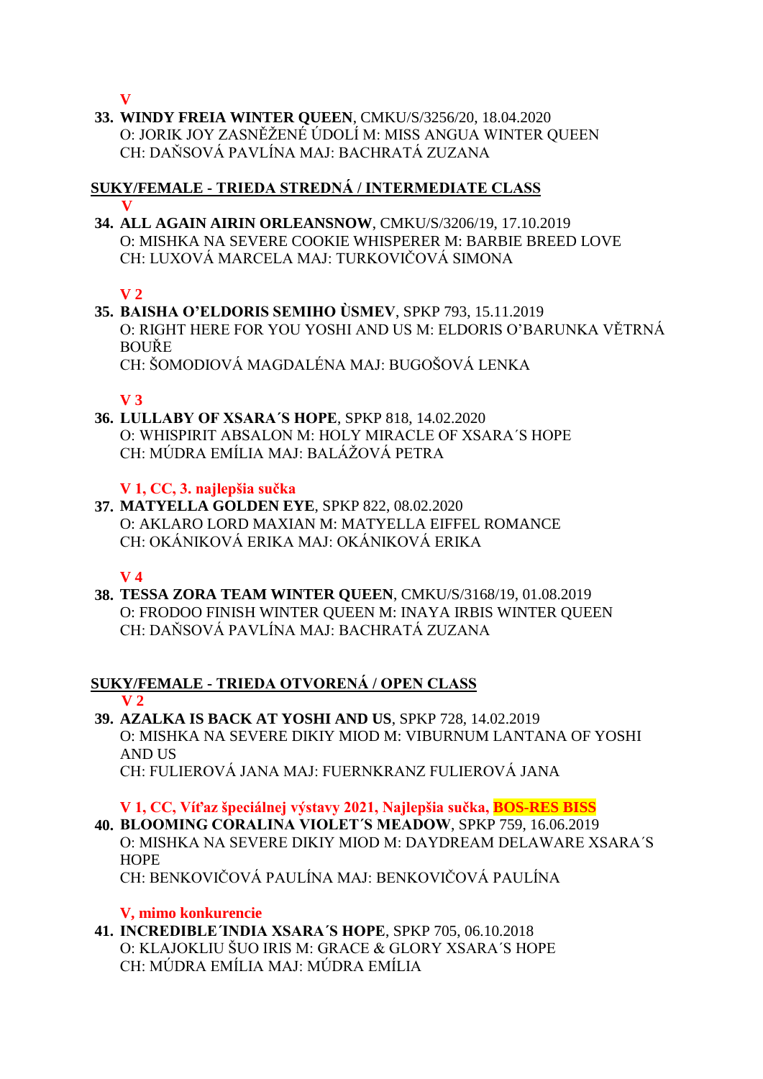**V**

**33. WINDY FREIA WINTER QUEEN**, CMKU/S/3256/20, 18.04.2020 O: JORIK JOY ZASNĚŽENÉ ÚDOLÍ M: MISS ANGUA WINTER QUEEN CH: DAŇSOVÁ PAVLÍNA MAJ: BACHRATÁ ZUZANA

#### **SUKY/FEMALE - TRIEDA STREDNÁ / INTERMEDIATE CLASS V**

**34. ALL AGAIN AIRIN ORLEANSNOW**, CMKU/S/3206/19, 17.10.2019 O: MISHKA NA SEVERE COOKIE WHISPERER M: BARBIE BREED LOVE CH: LUXOVÁ MARCELA MAJ: TURKOVIČOVÁ SIMONA

## **V 2**

**35. BAISHA O'ELDORIS SEMIHO ÙSMEV**, SPKP 793, 15.11.2019 O: RIGHT HERE FOR YOU YOSHI AND US M: ELDORIS O'BARUNKA VĚTRNÁ BOUŘE CH: ŠOMODIOVÁ MAGDALÉNA MAJ: BUGOŠOVÁ LENKA

## **V 3**

**36. LULLABY OF XSARA´S HOPE**, SPKP 818, 14.02.2020 O: WHISPIRIT ABSALON M: HOLY MIRACLE OF XSARA´S HOPE CH: MÚDRA EMÍLIA MAJ: BALÁŽOVÁ PETRA

**V 1, CC, 3. najlepšia sučka**

**37. MATYELLA GOLDEN EYE**, SPKP 822, 08.02.2020 O: AKLARO LORD MAXIAN M: MATYELLA EIFFEL ROMANCE CH: OKÁNIKOVÁ ERIKA MAJ: OKÁNIKOVÁ ERIKA

### **V 4**

**38. TESSA ZORA TEAM WINTER QUEEN**, CMKU/S/3168/19, 01.08.2019 O: FRODOO FINISH WINTER QUEEN M: INAYA IRBIS WINTER QUEEN CH: DAŇSOVÁ PAVLÍNA MAJ: BACHRATÁ ZUZANA

#### **SUKY/FEMALE - TRIEDA OTVORENÁ / OPEN CLASS V 2**

**39. AZALKA IS BACK AT YOSHI AND US**, SPKP 728, 14.02.2019 O: MISHKA NA SEVERE DIKIY MIOD M: VIBURNUM LANTANA OF YOSHI AND US CH: FULIEROVÁ JANA MAJ: FUERNKRANZ FULIEROVÁ JANA

**V 1, CC, Víťaz špeciálnej výstavy 2021, Najlepšia sučka, BOS-RES BISS**

**40. BLOOMING CORALINA VIOLET´S MEADOW**, SPKP 759, 16.06.2019 O: MISHKA NA SEVERE DIKIY MIOD M: DAYDREAM DELAWARE XSARA´S HOPE

CH: BENKOVIČOVÁ PAULÍNA MAJ: BENKOVIČOVÁ PAULÍNA

**V, mimo konkurencie**

**41. INCREDIBLE´INDIA XSARA´S HOPE**, SPKP 705, 06.10.2018 O: KLAJOKLIU ŠUO IRIS M: GRACE & GLORY XSARA´S HOPE CH: MÚDRA EMÍLIA MAJ: MÚDRA EMÍLIA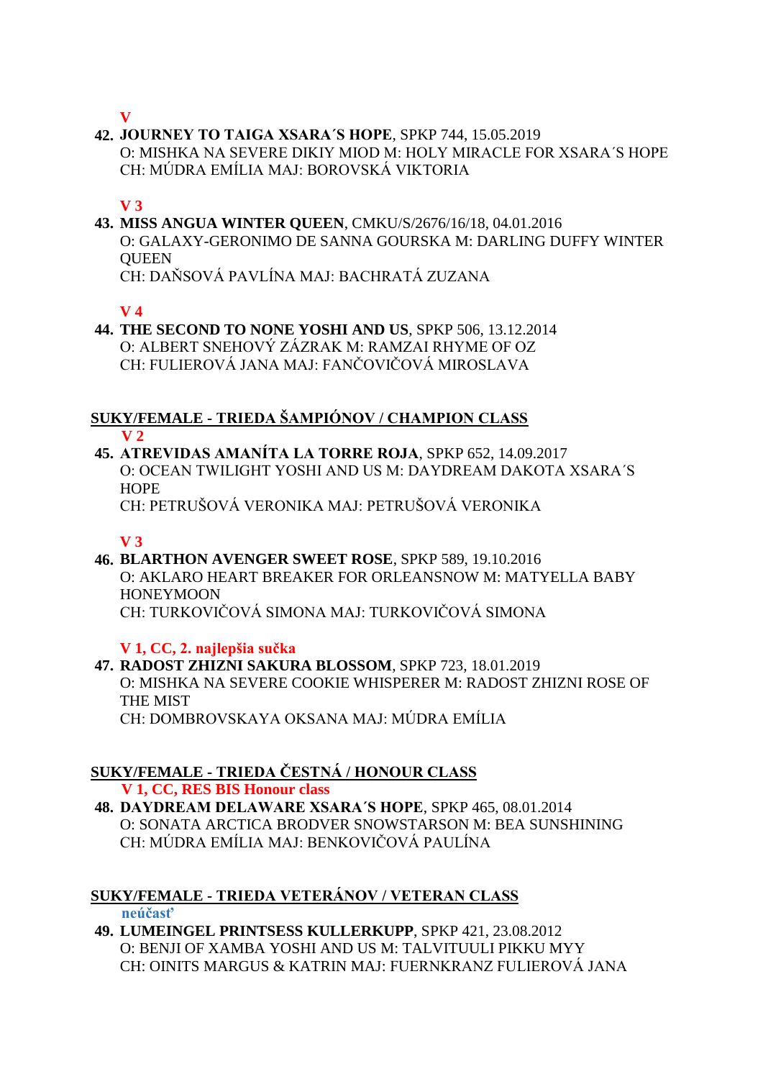**V**

**42. JOURNEY TO TAIGA XSARA´S HOPE**, SPKP 744, 15.05.2019 O: MISHKA NA SEVERE DIKIY MIOD M: HOLY MIRACLE FOR XSARA´S HOPE CH: MÚDRA EMÍLIA MAJ: BOROVSKÁ VIKTORIA

### **V 3**

**43. MISS ANGUA WINTER QUEEN**, CMKU/S/2676/16/18, 04.01.2016 O: GALAXY-GERONIMO DE SANNA GOURSKA M: DARLING DUFFY WINTER **OUEEN** CH: DAŇSOVÁ PAVLÍNA MAJ: BACHRATÁ ZUZANA

**V 4**

**44. THE SECOND TO NONE YOSHI AND US**, SPKP 506, 13.12.2014 O: ALBERT SNEHOVÝ ZÁZRAK M: RAMZAI RHYME OF OZ CH: FULIEROVÁ JANA MAJ: FANČOVIČOVÁ MIROSLAVA

#### **SUKY/FEMALE - TRIEDA ŠAMPIÓNOV / CHAMPION CLASS V 2**

**45. ATREVIDAS AMANÍTA LA TORRE ROJA**, SPKP 652, 14.09.2017 O: OCEAN TWILIGHT YOSHI AND US M: DAYDREAM DAKOTA XSARA´S **HOPE** 

CH: PETRUŠOVÁ VERONIKA MAJ: PETRUŠOVÁ VERONIKA

### **V 3**

**46. BLARTHON AVENGER SWEET ROSE**, SPKP 589, 19.10.2016 O: AKLARO HEART BREAKER FOR ORLEANSNOW M: MATYELLA BABY **HONEYMOON** CH: TURKOVIČOVÁ SIMONA MAJ: TURKOVIČOVÁ SIMONA

### **V 1, CC, 2. najlepšia sučka**

**47. RADOST ZHIZNI SAKURA BLOSSOM**, SPKP 723, 18.01.2019 O: MISHKA NA SEVERE COOKIE WHISPERER M: RADOST ZHIZNI ROSE OF THE MIST CH: DOMBROVSKAYA OKSANA MAJ: MÚDRA EMÍLIA

## **SUKY/FEMALE - TRIEDA ČESTNÁ / HONOUR CLASS**

 **V 1, CC, RES BIS Honour class**

**48. DAYDREAM DELAWARE XSARA´S HOPE**, SPKP 465, 08.01.2014 O: SONATA ARCTICA BRODVER SNOWSTARSON M: BEA SUNSHINING CH: MÚDRA EMÍLIA MAJ: BENKOVIČOVÁ PAULÍNA

#### **SUKY/FEMALE - TRIEDA VETERÁNOV / VETERAN CLASS neúčasť**

**49. LUMEINGEL PRINTSESS KULLERKUPP**, SPKP 421, 23.08.2012 O: BENJI OF XAMBA YOSHI AND US M: TALVITUULI PIKKU MYY CH: OINITS MARGUS & KATRIN MAJ: FUERNKRANZ FULIEROVÁ JANA